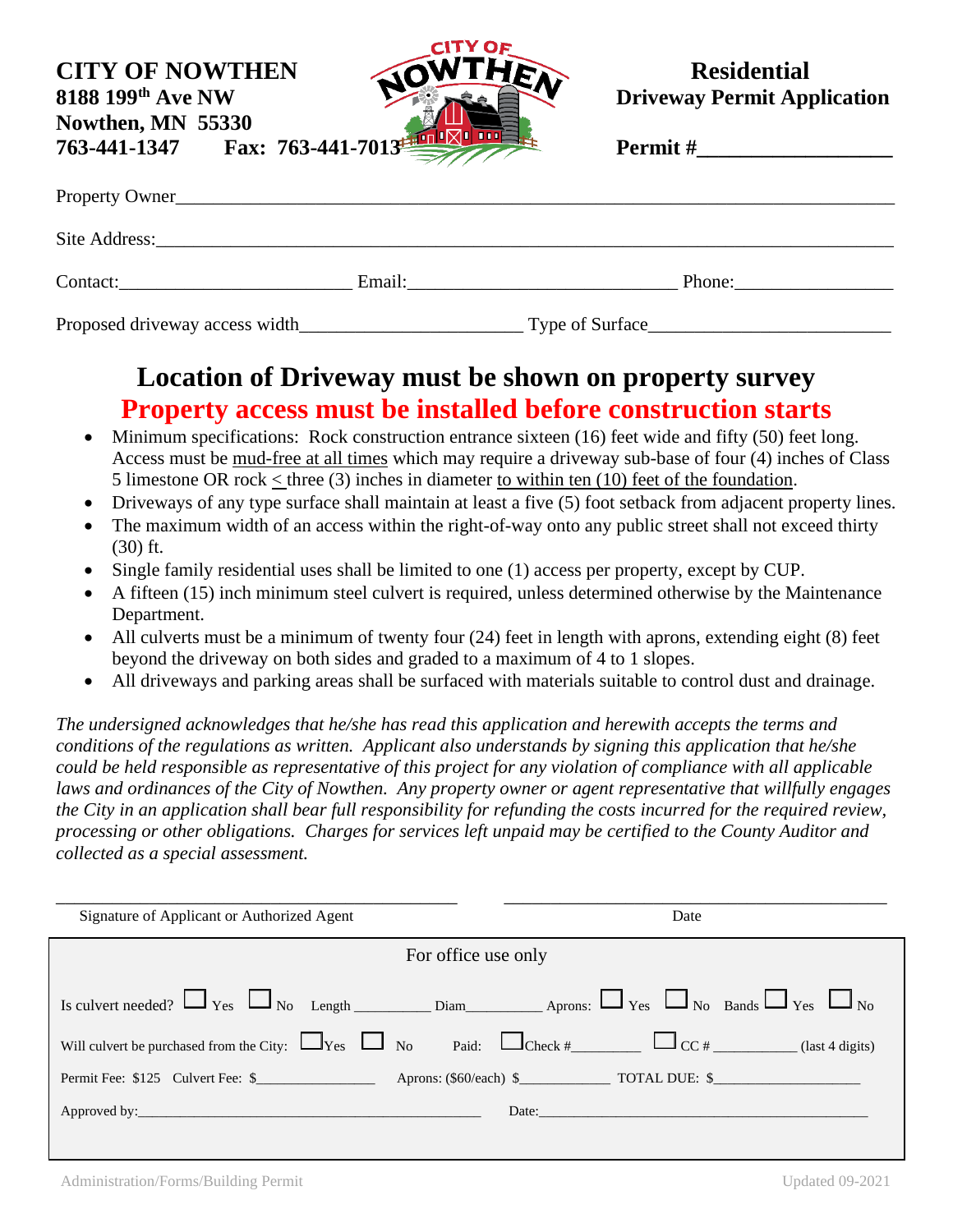**CITY OF NOWTHEN** ANTHER Residential **Nowthen, MN 55330 763-441-1347 Fax: 763-441-701** 



**8188 199<sup>th</sup> Ave NW <b>Driveway Permit Application** 

| <b>Permit</b> # |  |
|-----------------|--|
|                 |  |

| Contact:                        |  | Email: The contract of the contract of the contract of the contract of the contract of the contract of the contract of the contract of the contract of the contract of the contract of the contract of the contract of the con<br>Phone: |  |
|---------------------------------|--|------------------------------------------------------------------------------------------------------------------------------------------------------------------------------------------------------------------------------------------|--|
| Proposed driveway access width_ |  | Type of Surface                                                                                                                                                                                                                          |  |

# **Location of Driveway must be shown on property survey Property access must be installed before construction starts**

- Minimum specifications: Rock construction entrance sixteen (16) feet wide and fifty (50) feet long. Access must be mud-free at all times which may require a driveway sub-base of four (4) inches of Class 5 limestone OR rock < three (3) inches in diameter to within ten (10) feet of the foundation.
- Driveways of any type surface shall maintain at least a five (5) foot setback from adjacent property lines.
- The maximum width of an access within the right-of-way onto any public street shall not exceed thirty (30) ft.
- Single family residential uses shall be limited to one (1) access per property, except by CUP.
- A fifteen (15) inch minimum steel culvert is required, unless determined otherwise by the Maintenance Department.
- All culverts must be a minimum of twenty four (24) feet in length with aprons, extending eight (8) feet beyond the driveway on both sides and graded to a maximum of 4 to 1 slopes.
- All driveways and parking areas shall be surfaced with materials suitable to control dust and drainage.

*The undersigned acknowledges that he/she has read this application and herewith accepts the terms and conditions of the regulations as written. Applicant also understands by signing this application that he/she could be held responsible as representative of this project for any violation of compliance with all applicable laws and ordinances of the City of Nowthen. Any property owner or agent representative that willfully engages the City in an application shall bear full responsibility for refunding the costs incurred for the required review, processing or other obligations. Charges for services left unpaid may be certified to the County Auditor and collected as a special assessment.*

| Signature of Applicant or Authorized Agent | Date                                                                                                        |  |  |  |
|--------------------------------------------|-------------------------------------------------------------------------------------------------------------|--|--|--|
| For office use only                        |                                                                                                             |  |  |  |
|                                            | Is culvert needed? $\Box$ Yes $\Box$ No Length Diam Aprons: $\Box$ Yes $\Box$ No Bands $\Box$ Yes $\Box$ No |  |  |  |
|                                            |                                                                                                             |  |  |  |
|                                            |                                                                                                             |  |  |  |
|                                            | Date:                                                                                                       |  |  |  |
|                                            |                                                                                                             |  |  |  |